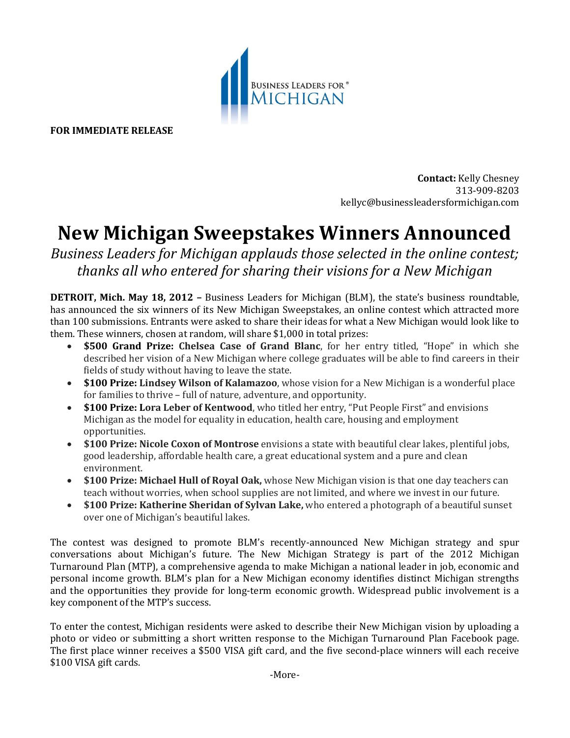

**FOR IMMEDIATE RELEASE**

**Contact:** Kelly Chesney 313-909-8203 kellyc@businessleadersformichigan.com

## **New Michigan Sweepstakes Winners Announced**

*Business Leaders for Michigan applauds those selected in the online contest; thanks all who entered for sharing their visions for a New Michigan*

**DETROIT, Mich. May 18, 2012 –** Business Leaders for Michigan (BLM), the state's business roundtable, has announced the six winners of its New Michigan Sweepstakes, an online contest which attracted more than 100 submissions. Entrants were asked to share their ideas for what a New Michigan would look like to them. These winners, chosen at random, will share \$1,000 in total prizes:

- **\$500 Grand Prize: Chelsea Case of Grand Blanc**, for her entry titled, "Hope" in which she described her vision of a New Michigan where college graduates will be able to find careers in their fields of study without having to leave the state.
- **\$100 Prize: Lindsey Wilson of Kalamazoo**, whose vision for a New Michigan is a wonderful place for families to thrive – full of nature, adventure, and opportunity.
- **\$100 Prize: Lora Leber of Kentwood**, who titled her entry, "Put People First" and envisions Michigan as the model for equality in education, health care, housing and employment opportunities.
- **\$100 Prize: Nicole Coxon of Montrose** envisions a state with beautiful clear lakes, plentiful jobs, good leadership, affordable health care, a great educational system and a pure and clean environment.
- **\$100 Prize: Michael Hull of Royal Oak,** whose New Michigan vision is that one day teachers can teach without worries, when school supplies are not limited, and where we invest in our future.
- **\$100 Prize: Katherine Sheridan of Sylvan Lake,** who entered a photograph of a beautiful sunset over one of Michigan's beautiful lakes.

The contest was designed to promote BLM's recently-announced New Michigan strategy and spur conversations about Michigan's future. The New Michigan Strategy is part of the 2012 Michigan Turnaround Plan (MTP), a comprehensive agenda to make Michigan a national leader in job, economic and personal income growth. BLM's plan for a New Michigan economy identifies distinct Michigan strengths and the opportunities they provide for long-term economic growth. Widespread public involvement is a key component of the MTP's success.

To enter the contest, Michigan residents were asked to describe their New Michigan vision by uploading a photo or video or submitting a short written response to the Michigan Turnaround Plan Facebook page. The first place winner receives a \$500 VISA gift card, and the five second-place winners will each receive \$100 VISA gift cards.